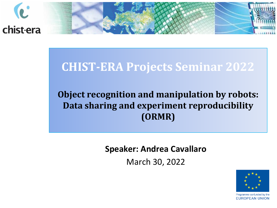

### **CHIST-ERA Projects Seminar 2022**

#### **Object recognition and manipulation by robots: Data sharing and experiment reproducibility (ORMR)**

**Speaker: Andrea Cavallaro** 

March 30, 2022

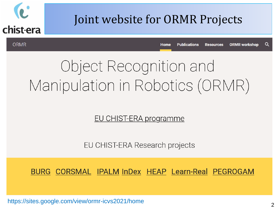

### Joint website for ORMR Projects

**ORMR** 

**Publications** Q Home **Resources** ORMR workshop

## Object Recognition and Manipulation in Robotics (ORMR)

<u>EU CHIST-ERA programme</u>

EU CHIST-ERA Research projects

BURG CORSMAL IPALM InDex HEAP Learn-Real PEGROGAM

https://sites.google.com/view/ormr-icvs2021/home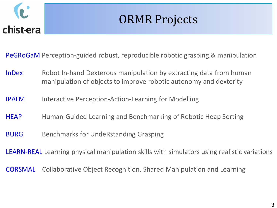

### ORMR Projects

PeGRoGaM Perception-guided robust, reproducible robotic grasping & manipulation

- InDex Robot In-hand Dexterous manipulation by extracting data from human manipulation of objects to improve robotic autonomy and dexterity
- IPALM Interactive Perception-Action-Learning for Modelling
- HEAP Human-Guided Learning and Benchmarking of Robotic Heap Sorting
- **BURG** Benchmarks for UndeRstanding Grasping

LEARN-REAL Learning physical manipulation skills with simulators using realistic variations

CORSMAL Collaborative Object Recognition, Shared Manipulation and Learning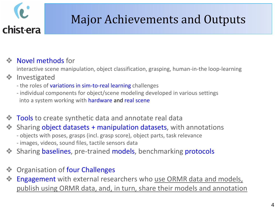

## Major Achievements and Outputs

#### Novel methods for

interactive scene manipulation, object classification, grasping, human-in-the loop-learning

#### ❖ Investigated

- the roles of variations in sim-to-real learning challenges
- individual components for object/scene modeling developed in various settings into a system working with hardware and real scene
- **Tools** to create synthetic data and annotate real data
- Sharing object datasets + manipulation datasets, with annotations - objects with poses, grasps (incl. grasp score), object parts, task relevance - images, videos, sound files, tactile sensors data
- Sharing baselines, pre-trained models, benchmarking protocols
- Organisation of four Challenges
- Engagement with external researchers who use ORMR data and models, publish using ORMR data, and, in turn, share their models and annotation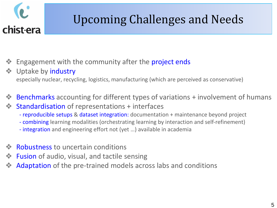

## Upcoming Challenges and Needs

- Engagement with the community after the project ends
- Uptake by **industry** especially nuclear, recycling, logistics, manufacturing (which are perceived as conservative)
- Benchmarks accounting for different types of variations + involvement of humans
- Standardisation of representations + interfaces
	- reproducible setups & dataset integration: documentation + maintenance beyond project
	- combining learning modalities (orchestrating learning by interaction and self-refinement)
	- integration and engineering effort not (yet …) available in academia
- Robustness to uncertain conditions
- Fusion of audio, visual, and tactile sensing
- Adaptation of the pre-trained models across labs and conditions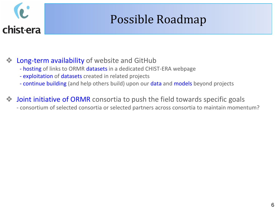## Possible Roadmap

Long-term availability of website and GitHub

- hosting of links to ORMR datasets in a dedicated CHIST-ERA webpage
- exploitation of datasets created in related projects
- continue building (and help others build) upon our data and models beyond projects
- **Joint initiative of ORMR** consortia to push the field towards specific goals - consortium of selected consortia or selected partners across consortia to maintain momentum?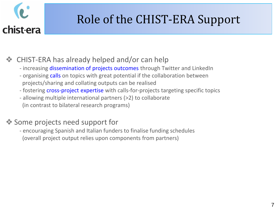## Role of the CHIST-ERA Support

❖ CHIST-ERA has already helped and/or can help

- increasing dissemination of projects outcomes through Twitter and LinkedIn
- organising calls on topics with great potential if the collaboration between projects/sharing and collating outputs can be realised
- fostering cross-project expertise with calls-for-projects targeting specific topics
- allowing multiple international partners (>2) to collaborate (in contrast to bilateral research programs)

#### ❖ Some projects need support for

- encouraging Spanish and Italian funders to finalise funding schedules (overall project output relies upon components from partners)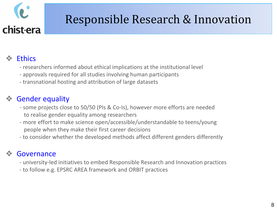## Responsible Research & Innovation

#### **Ethics**

- researchers informed about ethical implications at the institutional level
- approvals required for all studies involving human participants
- transnational hosting and attribution of large datasets

#### **Gender equality**

- some projects close to 50/50 (PIs & Co-Is), however more efforts are needed to realise gender equality among researchers
- more effort to make science open/accessible/understandable to teens/young people when they make their first career decisions
- to consider whether the developed methods affect different genders differently

#### **Governance**

- university-led initiatives to embed Responsible Research and Innovation practices
- to follow e.g. EPSRC AREA framework and ORBIT practices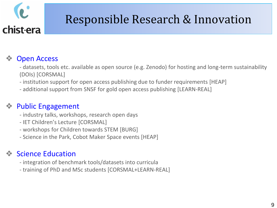## Responsible Research & Innovation

#### **Open Access**

- datasets, tools etc. available as open source (e.g. Zenodo) for hosting and long-term sustainability (DOIs) [CORSMAL]
- institution support for open access publishing due to funder requirements [HEAP]
- additional support from SNSF for gold open access publishing [LEARN-REAL]

#### Public Engagement

- industry talks, workshops, research open days
- IET Children's Lecture [CORSMAL]
- workshops for Children towards STEM [BURG]
- Science in the Park, Cobot Maker Space events [HEAP]

#### **Science Education**

- integration of benchmark tools/datasets into curricula
- training of PhD and MSc students [CORSMAL+LEARN-REAL]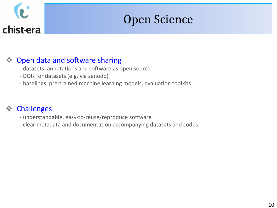

### Open Science

#### Open data and software sharing

- datasets, annotations and software as open source
- DOIs for datasets (e.g. via zenodo)
- baselines, pre-trained machine learning models, evaluation toolkits

#### ❖ Challenges

- understandable, easy-to-reuse/reproduce software
- clear metadata and documentation accompanying datasets and codes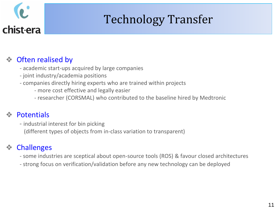## Technology Transfer

#### ❖ Often realised by

- academic start-ups acquired by large companies
- joint industry/academia positions
- companies directly hiring experts who are trained within projects
	- more cost effective and legally easier
	- researcher (CORSMAL) who contributed to the baseline hired by Medtronic

#### **Potentials**

- industrial interest for bin picking (different types of objects from in-class variation to transparent)

#### **Challenges**

- some industries are sceptical about open-source tools (ROS) & favour closed architectures
- strong focus on verification/validation before any new technology can be deployed